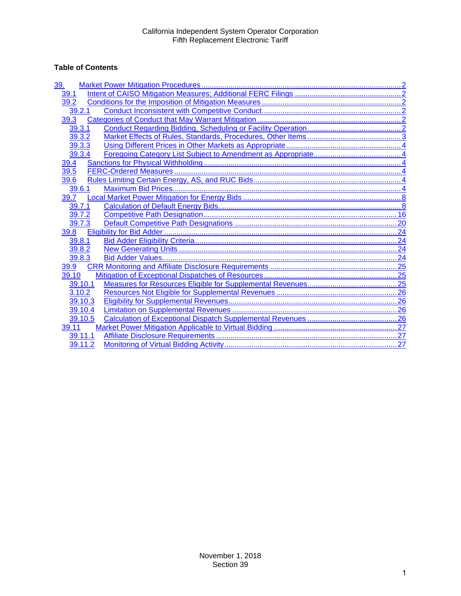# **Table of Contents**

| 39.     |
|---------|
| 39.1    |
| 39.2    |
| 39.2.1  |
| 39.3    |
| 39.3.1  |
| 39.3.2  |
| 39.3.3  |
| 39.3.4  |
| 39.4    |
| 39.5    |
| 39.6    |
| 39.6.1  |
| 39.7    |
| 39.7.1  |
| 39.7.2  |
| 39.7.3  |
| 39.8    |
| 39.8.1  |
| 39.8.2  |
| 39.8.3  |
| 39.9    |
| 39.10   |
| 39.10.1 |
| 3.10.2  |
| 39.10.3 |
| 39.10.4 |
| 39.10.5 |
| 39.11   |
| 39.11.1 |
| 39.11.2 |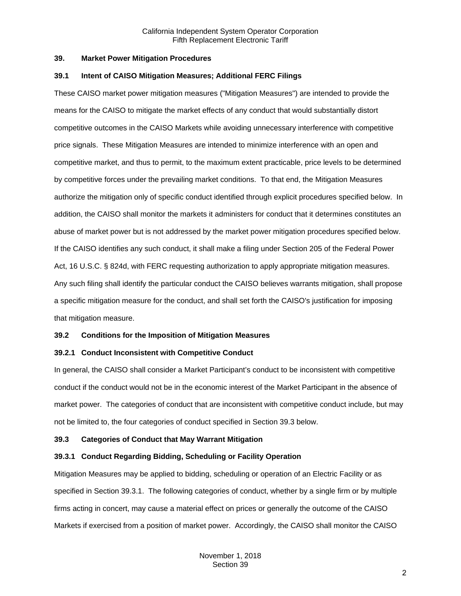#### <span id="page-1-0"></span>**39. Market Power Mitigation Procedures**

#### <span id="page-1-1"></span>**39.1 Intent of CAISO Mitigation Measures; Additional FERC Filings**

These CAISO market power mitigation measures ("Mitigation Measures") are intended to provide the means for the CAISO to mitigate the market effects of any conduct that would substantially distort competitive outcomes in the CAISO Markets while avoiding unnecessary interference with competitive price signals. These Mitigation Measures are intended to minimize interference with an open and competitive market, and thus to permit, to the maximum extent practicable, price levels to be determined by competitive forces under the prevailing market conditions. To that end, the Mitigation Measures authorize the mitigation only of specific conduct identified through explicit procedures specified below. In addition, the CAISO shall monitor the markets it administers for conduct that it determines constitutes an abuse of market power but is not addressed by the market power mitigation procedures specified below. If the CAISO identifies any such conduct, it shall make a filing under Section 205 of the Federal Power Act, 16 U.S.C. § 824d, with FERC requesting authorization to apply appropriate mitigation measures. Any such filing shall identify the particular conduct the CAISO believes warrants mitigation, shall propose a specific mitigation measure for the conduct, and shall set forth the CAISO's justification for imposing that mitigation measure.

## <span id="page-1-2"></span>**39.2 Conditions for the Imposition of Mitigation Measures**

## <span id="page-1-3"></span>**39.2.1 Conduct Inconsistent with Competitive Conduct**

In general, the CAISO shall consider a Market Participant's conduct to be inconsistent with competitive conduct if the conduct would not be in the economic interest of the Market Participant in the absence of market power. The categories of conduct that are inconsistent with competitive conduct include, but may not be limited to, the four categories of conduct specified in Section 39.3 below.

## <span id="page-1-4"></span>**39.3 Categories of Conduct that May Warrant Mitigation**

## <span id="page-1-5"></span>**39.3.1 Conduct Regarding Bidding, Scheduling or Facility Operation**

Mitigation Measures may be applied to bidding, scheduling or operation of an Electric Facility or as specified in Section 39.3.1. The following categories of conduct, whether by a single firm or by multiple firms acting in concert, may cause a material effect on prices or generally the outcome of the CAISO Markets if exercised from a position of market power. Accordingly, the CAISO shall monitor the CAISO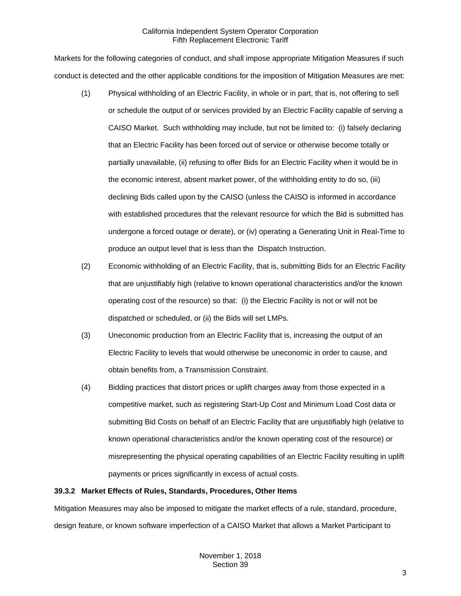Markets for the following categories of conduct, and shall impose appropriate Mitigation Measures if such conduct is detected and the other applicable conditions for the imposition of Mitigation Measures are met:

- (1) Physical withholding of an Electric Facility, in whole or in part, that is, not offering to sell or schedule the output of or services provided by an Electric Facility capable of serving a CAISO Market. Such withholding may include, but not be limited to: (i) falsely declaring that an Electric Facility has been forced out of service or otherwise become totally or partially unavailable, (ii) refusing to offer Bids for an Electric Facility when it would be in the economic interest, absent market power, of the withholding entity to do so, (iii) declining Bids called upon by the CAISO (unless the CAISO is informed in accordance with established procedures that the relevant resource for which the Bid is submitted has undergone a forced outage or derate), or (iv) operating a Generating Unit in Real-Time to produce an output level that is less than the Dispatch Instruction.
- (2) Economic withholding of an Electric Facility, that is, submitting Bids for an Electric Facility that are unjustifiably high (relative to known operational characteristics and/or the known operating cost of the resource) so that: (i) the Electric Facility is not or will not be dispatched or scheduled, or (ii) the Bids will set LMPs.
- (3) Uneconomic production from an Electric Facility that is, increasing the output of an Electric Facility to levels that would otherwise be uneconomic in order to cause, and obtain benefits from, a Transmission Constraint.
- (4) Bidding practices that distort prices or uplift charges away from those expected in a competitive market, such as registering Start-Up Cost and Minimum Load Cost data or submitting Bid Costs on behalf of an Electric Facility that are unjustifiably high (relative to known operational characteristics and/or the known operating cost of the resource) or misrepresenting the physical operating capabilities of an Electric Facility resulting in uplift payments or prices significantly in excess of actual costs.

## <span id="page-2-0"></span>**39.3.2 Market Effects of Rules, Standards, Procedures, Other Items**

Mitigation Measures may also be imposed to mitigate the market effects of a rule, standard, procedure, design feature, or known software imperfection of a CAISO Market that allows a Market Participant to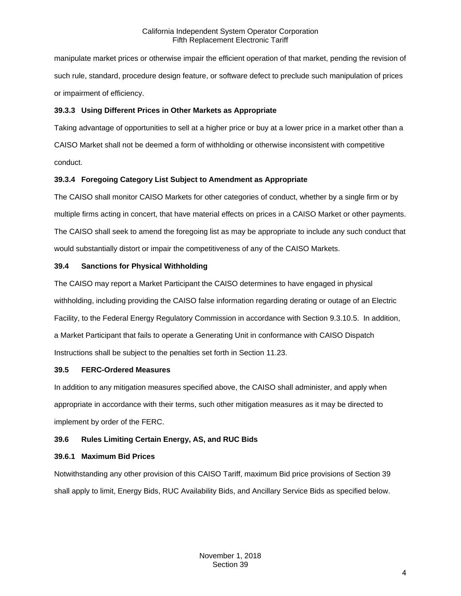manipulate market prices or otherwise impair the efficient operation of that market, pending the revision of such rule, standard, procedure design feature, or software defect to preclude such manipulation of prices or impairment of efficiency.

## <span id="page-3-0"></span>**39.3.3 Using Different Prices in Other Markets as Appropriate**

Taking advantage of opportunities to sell at a higher price or buy at a lower price in a market other than a CAISO Market shall not be deemed a form of withholding or otherwise inconsistent with competitive conduct.

## <span id="page-3-1"></span>**39.3.4 Foregoing Category List Subject to Amendment as Appropriate**

The CAISO shall monitor CAISO Markets for other categories of conduct, whether by a single firm or by multiple firms acting in concert, that have material effects on prices in a CAISO Market or other payments. The CAISO shall seek to amend the foregoing list as may be appropriate to include any such conduct that would substantially distort or impair the competitiveness of any of the CAISO Markets.

## <span id="page-3-2"></span>**39.4 Sanctions for Physical Withholding**

The CAISO may report a Market Participant the CAISO determines to have engaged in physical withholding, including providing the CAISO false information regarding derating or outage of an Electric Facility, to the Federal Energy Regulatory Commission in accordance with Section 9.3.10.5. In addition, a Market Participant that fails to operate a Generating Unit in conformance with CAISO Dispatch Instructions shall be subject to the penalties set forth in Section 11.23.

## <span id="page-3-3"></span>**39.5 FERC-Ordered Measures**

In addition to any mitigation measures specified above, the CAISO shall administer, and apply when appropriate in accordance with their terms, such other mitigation measures as it may be directed to implement by order of the FERC.

# <span id="page-3-4"></span>**39.6 Rules Limiting Certain Energy, AS, and RUC Bids**

## <span id="page-3-5"></span>**39.6.1 Maximum Bid Prices**

Notwithstanding any other provision of this CAISO Tariff, maximum Bid price provisions of Section 39 shall apply to limit, Energy Bids, RUC Availability Bids, and Ancillary Service Bids as specified below.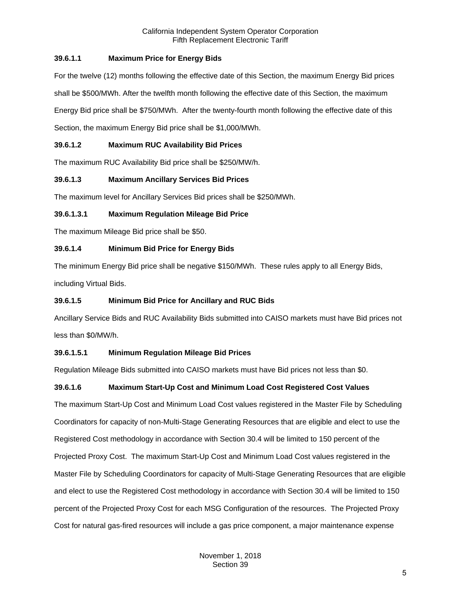# **39.6.1.1 Maximum Price for Energy Bids**

For the twelve (12) months following the effective date of this Section, the maximum Energy Bid prices shall be \$500/MWh. After the twelfth month following the effective date of this Section, the maximum Energy Bid price shall be \$750/MWh. After the twenty-fourth month following the effective date of this Section, the maximum Energy Bid price shall be \$1,000/MWh.

# **39.6.1.2 Maximum RUC Availability Bid Prices**

The maximum RUC Availability Bid price shall be \$250/MW/h.

# **39.6.1.3 Maximum Ancillary Services Bid Prices**

The maximum level for Ancillary Services Bid prices shall be \$250/MWh.

# **39.6.1.3.1 Maximum Regulation Mileage Bid Price**

The maximum Mileage Bid price shall be \$50.

# **39.6.1.4 Minimum Bid Price for Energy Bids**

The minimum Energy Bid price shall be negative \$150/MWh. These rules apply to all Energy Bids, including Virtual Bids.

# **39.6.1.5 Minimum Bid Price for Ancillary and RUC Bids**

Ancillary Service Bids and RUC Availability Bids submitted into CAISO markets must have Bid prices not less than \$0/MW/h.

# **39.6.1.5.1 Minimum Regulation Mileage Bid Prices**

Regulation Mileage Bids submitted into CAISO markets must have Bid prices not less than \$0.

# **39.6.1.6 Maximum Start-Up Cost and Minimum Load Cost Registered Cost Values**

The maximum Start-Up Cost and Minimum Load Cost values registered in the Master File by Scheduling Coordinators for capacity of non-Multi-Stage Generating Resources that are eligible and elect to use the Registered Cost methodology in accordance with Section 30.4 will be limited to 150 percent of the Projected Proxy Cost. The maximum Start-Up Cost and Minimum Load Cost values registered in the Master File by Scheduling Coordinators for capacity of Multi-Stage Generating Resources that are eligible and elect to use the Registered Cost methodology in accordance with Section 30.4 will be limited to 150 percent of the Projected Proxy Cost for each MSG Configuration of the resources. The Projected Proxy Cost for natural gas-fired resources will include a gas price component, a major maintenance expense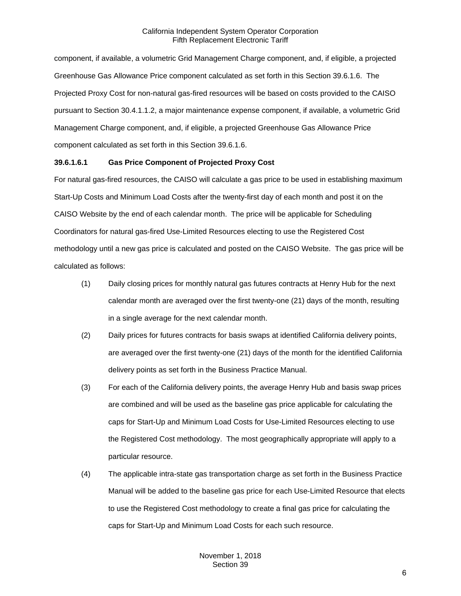component, if available, a volumetric Grid Management Charge component, and, if eligible, a projected Greenhouse Gas Allowance Price component calculated as set forth in this Section 39.6.1.6. The Projected Proxy Cost for non-natural gas-fired resources will be based on costs provided to the CAISO pursuant to Section 30.4.1.1.2, a major maintenance expense component, if available, a volumetric Grid Management Charge component, and, if eligible, a projected Greenhouse Gas Allowance Price component calculated as set forth in this Section 39.6.1.6.

## **39.6.1.6.1 Gas Price Component of Projected Proxy Cost**

For natural gas-fired resources, the CAISO will calculate a gas price to be used in establishing maximum Start-Up Costs and Minimum Load Costs after the twenty-first day of each month and post it on the CAISO Website by the end of each calendar month. The price will be applicable for Scheduling Coordinators for natural gas-fired Use-Limited Resources electing to use the Registered Cost methodology until a new gas price is calculated and posted on the CAISO Website. The gas price will be calculated as follows:

- (1) Daily closing prices for monthly natural gas futures contracts at Henry Hub for the next calendar month are averaged over the first twenty-one (21) days of the month, resulting in a single average for the next calendar month.
- (2) Daily prices for futures contracts for basis swaps at identified California delivery points, are averaged over the first twenty-one (21) days of the month for the identified California delivery points as set forth in the Business Practice Manual.
- (3) For each of the California delivery points, the average Henry Hub and basis swap prices are combined and will be used as the baseline gas price applicable for calculating the caps for Start-Up and Minimum Load Costs for Use-Limited Resources electing to use the Registered Cost methodology. The most geographically appropriate will apply to a particular resource.
- (4) The applicable intra-state gas transportation charge as set forth in the Business Practice Manual will be added to the baseline gas price for each Use-Limited Resource that elects to use the Registered Cost methodology to create a final gas price for calculating the caps for Start-Up and Minimum Load Costs for each such resource.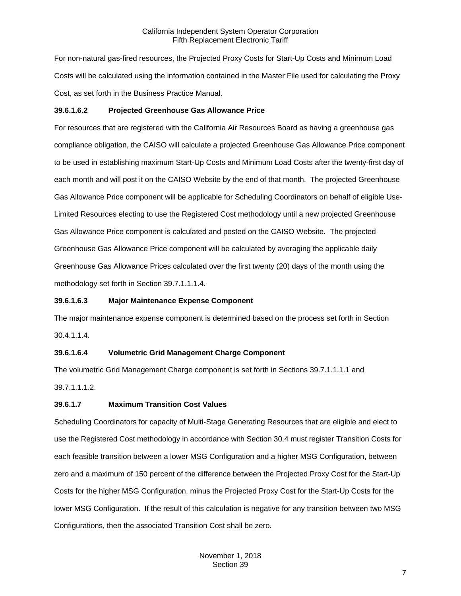For non-natural gas-fired resources, the Projected Proxy Costs for Start-Up Costs and Minimum Load Costs will be calculated using the information contained in the Master File used for calculating the Proxy Cost, as set forth in the Business Practice Manual.

## **39.6.1.6.2 Projected Greenhouse Gas Allowance Price**

For resources that are registered with the California Air Resources Board as having a greenhouse gas compliance obligation, the CAISO will calculate a projected Greenhouse Gas Allowance Price component to be used in establishing maximum Start-Up Costs and Minimum Load Costs after the twenty-first day of each month and will post it on the CAISO Website by the end of that month. The projected Greenhouse Gas Allowance Price component will be applicable for Scheduling Coordinators on behalf of eligible Use-Limited Resources electing to use the Registered Cost methodology until a new projected Greenhouse Gas Allowance Price component is calculated and posted on the CAISO Website. The projected Greenhouse Gas Allowance Price component will be calculated by averaging the applicable daily Greenhouse Gas Allowance Prices calculated over the first twenty (20) days of the month using the methodology set forth in Section 39.7.1.1.1.4.

## **39.6.1.6.3 Major Maintenance Expense Component**

The major maintenance expense component is determined based on the process set forth in Section 30.4.1.1.4.

## **39.6.1.6.4 Volumetric Grid Management Charge Component**

The volumetric Grid Management Charge component is set forth in Sections 39.7.1.1.1.1 and 39.7.1.1.1.2.

## **39.6.1.7 Maximum Transition Cost Values**

Scheduling Coordinators for capacity of Multi-Stage Generating Resources that are eligible and elect to use the Registered Cost methodology in accordance with Section 30.4 must register Transition Costs for each feasible transition between a lower MSG Configuration and a higher MSG Configuration, between zero and a maximum of 150 percent of the difference between the Projected Proxy Cost for the Start-Up Costs for the higher MSG Configuration, minus the Projected Proxy Cost for the Start-Up Costs for the lower MSG Configuration. If the result of this calculation is negative for any transition between two MSG Configurations, then the associated Transition Cost shall be zero.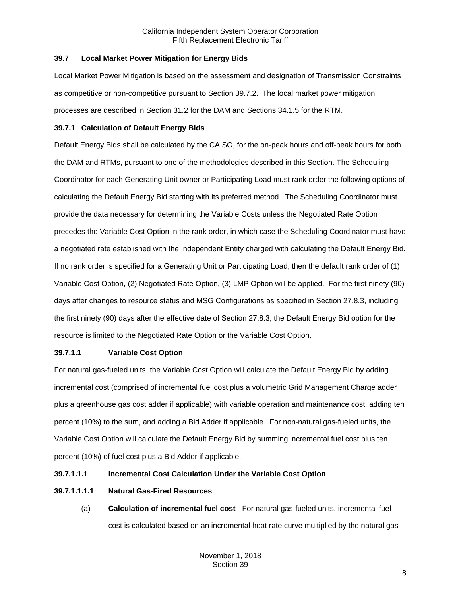## <span id="page-7-0"></span>**39.7 Local Market Power Mitigation for Energy Bids**

Local Market Power Mitigation is based on the assessment and designation of Transmission Constraints as competitive or non-competitive pursuant to Section 39.7.2. The local market power mitigation processes are described in Section 31.2 for the DAM and Sections 34.1.5 for the RTM.

## <span id="page-7-1"></span>**39.7.1 Calculation of Default Energy Bids**

Default Energy Bids shall be calculated by the CAISO, for the on-peak hours and off-peak hours for both the DAM and RTMs, pursuant to one of the methodologies described in this Section. The Scheduling Coordinator for each Generating Unit owner or Participating Load must rank order the following options of calculating the Default Energy Bid starting with its preferred method. The Scheduling Coordinator must provide the data necessary for determining the Variable Costs unless the Negotiated Rate Option precedes the Variable Cost Option in the rank order, in which case the Scheduling Coordinator must have a negotiated rate established with the Independent Entity charged with calculating the Default Energy Bid. If no rank order is specified for a Generating Unit or Participating Load, then the default rank order of (1) Variable Cost Option, (2) Negotiated Rate Option, (3) LMP Option will be applied. For the first ninety (90) days after changes to resource status and MSG Configurations as specified in Section 27.8.3, including the first ninety (90) days after the effective date of Section 27.8.3, the Default Energy Bid option for the resource is limited to the Negotiated Rate Option or the Variable Cost Option.

## **39.7.1.1 Variable Cost Option**

For natural gas-fueled units, the Variable Cost Option will calculate the Default Energy Bid by adding incremental cost (comprised of incremental fuel cost plus a volumetric Grid Management Charge adder plus a greenhouse gas cost adder if applicable) with variable operation and maintenance cost, adding ten percent (10%) to the sum, and adding a Bid Adder if applicable. For non-natural gas-fueled units, the Variable Cost Option will calculate the Default Energy Bid by summing incremental fuel cost plus ten percent (10%) of fuel cost plus a Bid Adder if applicable.

## **39.7.1.1.1 Incremental Cost Calculation Under the Variable Cost Option**

# **39.7.1.1.1.1 Natural Gas-Fired Resources**

(a) **Calculation of incremental fuel cost** - For natural gas-fueled units, incremental fuel cost is calculated based on an incremental heat rate curve multiplied by the natural gas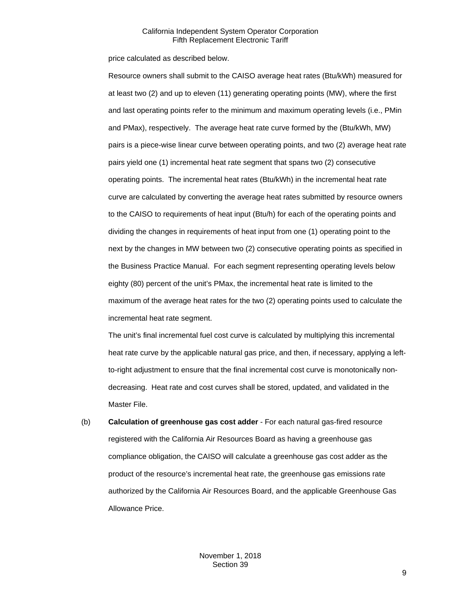price calculated as described below.

Resource owners shall submit to the CAISO average heat rates (Btu/kWh) measured for at least two (2) and up to eleven (11) generating operating points (MW), where the first and last operating points refer to the minimum and maximum operating levels (i.e., PMin and PMax), respectively. The average heat rate curve formed by the (Btu/kWh, MW) pairs is a piece-wise linear curve between operating points, and two (2) average heat rate pairs yield one (1) incremental heat rate segment that spans two (2) consecutive operating points. The incremental heat rates (Btu/kWh) in the incremental heat rate curve are calculated by converting the average heat rates submitted by resource owners to the CAISO to requirements of heat input (Btu/h) for each of the operating points and dividing the changes in requirements of heat input from one (1) operating point to the next by the changes in MW between two (2) consecutive operating points as specified in the Business Practice Manual. For each segment representing operating levels below eighty (80) percent of the unit's PMax, the incremental heat rate is limited to the maximum of the average heat rates for the two (2) operating points used to calculate the incremental heat rate segment.

The unit's final incremental fuel cost curve is calculated by multiplying this incremental heat rate curve by the applicable natural gas price, and then, if necessary, applying a leftto-right adjustment to ensure that the final incremental cost curve is monotonically nondecreasing. Heat rate and cost curves shall be stored, updated, and validated in the Master File.

(b) **Calculation of greenhouse gas cost adder** - For each natural gas-fired resource registered with the California Air Resources Board as having a greenhouse gas compliance obligation, the CAISO will calculate a greenhouse gas cost adder as the product of the resource's incremental heat rate, the greenhouse gas emissions rate authorized by the California Air Resources Board, and the applicable Greenhouse Gas Allowance Price.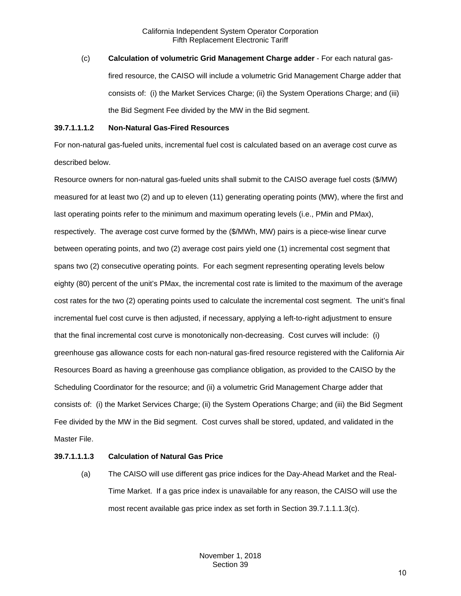(c) **Calculation of volumetric Grid Management Charge adder** - For each natural gasfired resource, the CAISO will include a volumetric Grid Management Charge adder that consists of: (i) the Market Services Charge; (ii) the System Operations Charge; and (iii) the Bid Segment Fee divided by the MW in the Bid segment.

#### **39.7.1.1.1.2 Non-Natural Gas-Fired Resources**

For non-natural gas-fueled units, incremental fuel cost is calculated based on an average cost curve as described below.

Resource owners for non-natural gas-fueled units shall submit to the CAISO average fuel costs (\$/MW) measured for at least two (2) and up to eleven (11) generating operating points (MW), where the first and last operating points refer to the minimum and maximum operating levels (i.e., PMin and PMax), respectively. The average cost curve formed by the (\$/MWh, MW) pairs is a piece-wise linear curve between operating points, and two (2) average cost pairs yield one (1) incremental cost segment that spans two (2) consecutive operating points. For each segment representing operating levels below eighty (80) percent of the unit's PMax, the incremental cost rate is limited to the maximum of the average cost rates for the two (2) operating points used to calculate the incremental cost segment. The unit's final incremental fuel cost curve is then adjusted, if necessary, applying a left-to-right adjustment to ensure that the final incremental cost curve is monotonically non-decreasing. Cost curves will include: (i) greenhouse gas allowance costs for each non-natural gas-fired resource registered with the California Air Resources Board as having a greenhouse gas compliance obligation, as provided to the CAISO by the Scheduling Coordinator for the resource; and (ii) a volumetric Grid Management Charge adder that consists of: (i) the Market Services Charge; (ii) the System Operations Charge; and (iii) the Bid Segment Fee divided by the MW in the Bid segment. Cost curves shall be stored, updated, and validated in the Master File.

## **39.7.1.1.1.3 Calculation of Natural Gas Price**

(a) The CAISO will use different gas price indices for the Day-Ahead Market and the Real-Time Market. If a gas price index is unavailable for any reason, the CAISO will use the most recent available gas price index as set forth in Section 39.7.1.1.1.3(c).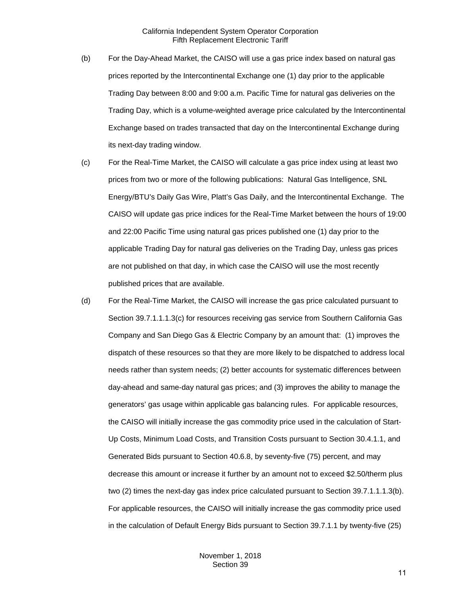- (b) For the Day-Ahead Market, the CAISO will use a gas price index based on natural gas prices reported by the Intercontinental Exchange one (1) day prior to the applicable Trading Day between 8:00 and 9:00 a.m. Pacific Time for natural gas deliveries on the Trading Day, which is a volume-weighted average price calculated by the Intercontinental Exchange based on trades transacted that day on the Intercontinental Exchange during its next-day trading window.
- (c) For the Real-Time Market, the CAISO will calculate a gas price index using at least two prices from two or more of the following publications: Natural Gas Intelligence, SNL Energy/BTU's Daily Gas Wire, Platt's Gas Daily, and the Intercontinental Exchange. The CAISO will update gas price indices for the Real-Time Market between the hours of 19:00 and 22:00 Pacific Time using natural gas prices published one (1) day prior to the applicable Trading Day for natural gas deliveries on the Trading Day, unless gas prices are not published on that day, in which case the CAISO will use the most recently published prices that are available.
- (d) For the Real-Time Market, the CAISO will increase the gas price calculated pursuant to Section 39.7.1.1.1.3(c) for resources receiving gas service from Southern California Gas Company and San Diego Gas & Electric Company by an amount that: (1) improves the dispatch of these resources so that they are more likely to be dispatched to address local needs rather than system needs; (2) better accounts for systematic differences between day-ahead and same-day natural gas prices; and (3) improves the ability to manage the generators' gas usage within applicable gas balancing rules. For applicable resources, the CAISO will initially increase the gas commodity price used in the calculation of Start-Up Costs, Minimum Load Costs, and Transition Costs pursuant to Section 30.4.1.1, and Generated Bids pursuant to Section 40.6.8, by seventy-five (75) percent, and may decrease this amount or increase it further by an amount not to exceed \$2.50/therm plus two (2) times the next-day gas index price calculated pursuant to Section 39.7.1.1.1.3(b). For applicable resources, the CAISO will initially increase the gas commodity price used in the calculation of Default Energy Bids pursuant to Section 39.7.1.1 by twenty-five (25)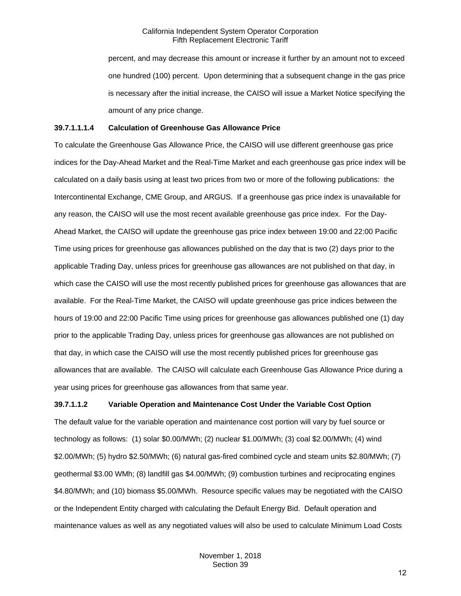percent, and may decrease this amount or increase it further by an amount not to exceed one hundred (100) percent. Upon determining that a subsequent change in the gas price is necessary after the initial increase, the CAISO will issue a Market Notice specifying the amount of any price change.

#### **39.7.1.1.1.4 Calculation of Greenhouse Gas Allowance Price**

To calculate the Greenhouse Gas Allowance Price, the CAISO will use different greenhouse gas price indices for the Day-Ahead Market and the Real-Time Market and each greenhouse gas price index will be calculated on a daily basis using at least two prices from two or more of the following publications: the Intercontinental Exchange, CME Group, and ARGUS. If a greenhouse gas price index is unavailable for any reason, the CAISO will use the most recent available greenhouse gas price index. For the Day-Ahead Market, the CAISO will update the greenhouse gas price index between 19:00 and 22:00 Pacific Time using prices for greenhouse gas allowances published on the day that is two (2) days prior to the applicable Trading Day, unless prices for greenhouse gas allowances are not published on that day, in which case the CAISO will use the most recently published prices for greenhouse gas allowances that are available. For the Real-Time Market, the CAISO will update greenhouse gas price indices between the hours of 19:00 and 22:00 Pacific Time using prices for greenhouse gas allowances published one (1) day prior to the applicable Trading Day, unless prices for greenhouse gas allowances are not published on that day, in which case the CAISO will use the most recently published prices for greenhouse gas allowances that are available. The CAISO will calculate each Greenhouse Gas Allowance Price during a year using prices for greenhouse gas allowances from that same year.

#### **39.7.1.1.2 Variable Operation and Maintenance Cost Under the Variable Cost Option**

The default value for the variable operation and maintenance cost portion will vary by fuel source or technology as follows: (1) solar \$0.00/MWh; (2) nuclear \$1.00/MWh; (3) coal \$2.00/MWh; (4) wind \$2.00/MWh; (5) hydro \$2.50/MWh; (6) natural gas-fired combined cycle and steam units \$2.80/MWh; (7) geothermal \$3.00 WMh; (8) landfill gas \$4.00/MWh; (9) combustion turbines and reciprocating engines \$4.80/MWh; and (10) biomass \$5.00/MWh. Resource specific values may be negotiated with the CAISO or the Independent Entity charged with calculating the Default Energy Bid. Default operation and maintenance values as well as any negotiated values will also be used to calculate Minimum Load Costs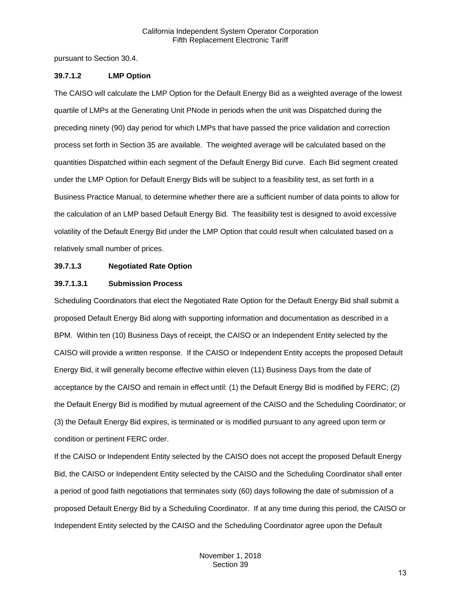pursuant to Section 30.4.

## **39.7.1.2 LMP Option**

The CAISO will calculate the LMP Option for the Default Energy Bid as a weighted average of the lowest quartile of LMPs at the Generating Unit PNode in periods when the unit was Dispatched during the preceding ninety (90) day period for which LMPs that have passed the price validation and correction process set forth in Section 35 are available. The weighted average will be calculated based on the quantities Dispatched within each segment of the Default Energy Bid curve. Each Bid segment created under the LMP Option for Default Energy Bids will be subject to a feasibility test, as set forth in a Business Practice Manual, to determine whether there are a sufficient number of data points to allow for the calculation of an LMP based Default Energy Bid. The feasibility test is designed to avoid excessive volatility of the Default Energy Bid under the LMP Option that could result when calculated based on a relatively small number of prices.

## **39.7.1.3 Negotiated Rate Option**

#### **39.7.1.3.1 Submission Process**

Scheduling Coordinators that elect the Negotiated Rate Option for the Default Energy Bid shall submit a proposed Default Energy Bid along with supporting information and documentation as described in a BPM. Within ten (10) Business Days of receipt, the CAISO or an Independent Entity selected by the CAISO will provide a written response. If the CAISO or Independent Entity accepts the proposed Default Energy Bid, it will generally become effective within eleven (11) Business Days from the date of acceptance by the CAISO and remain in effect until: (1) the Default Energy Bid is modified by FERC; (2) the Default Energy Bid is modified by mutual agreement of the CAISO and the Scheduling Coordinator; or (3) the Default Energy Bid expires, is terminated or is modified pursuant to any agreed upon term or condition or pertinent FERC order.

If the CAISO or Independent Entity selected by the CAISO does not accept the proposed Default Energy Bid, the CAISO or Independent Entity selected by the CAISO and the Scheduling Coordinator shall enter a period of good faith negotiations that terminates sixty (60) days following the date of submission of a proposed Default Energy Bid by a Scheduling Coordinator. If at any time during this period, the CAISO or Independent Entity selected by the CAISO and the Scheduling Coordinator agree upon the Default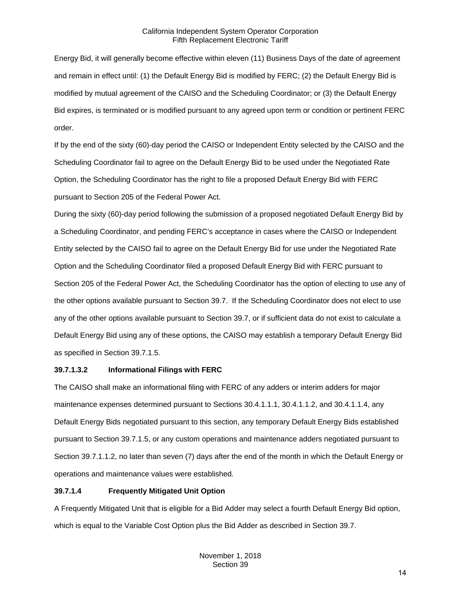Energy Bid, it will generally become effective within eleven (11) Business Days of the date of agreement and remain in effect until: (1) the Default Energy Bid is modified by FERC; (2) the Default Energy Bid is modified by mutual agreement of the CAISO and the Scheduling Coordinator; or (3) the Default Energy Bid expires, is terminated or is modified pursuant to any agreed upon term or condition or pertinent FERC order.

If by the end of the sixty (60)-day period the CAISO or Independent Entity selected by the CAISO and the Scheduling Coordinator fail to agree on the Default Energy Bid to be used under the Negotiated Rate Option, the Scheduling Coordinator has the right to file a proposed Default Energy Bid with FERC pursuant to Section 205 of the Federal Power Act.

During the sixty (60)-day period following the submission of a proposed negotiated Default Energy Bid by a Scheduling Coordinator, and pending FERC's acceptance in cases where the CAISO or Independent Entity selected by the CAISO fail to agree on the Default Energy Bid for use under the Negotiated Rate Option and the Scheduling Coordinator filed a proposed Default Energy Bid with FERC pursuant to Section 205 of the Federal Power Act, the Scheduling Coordinator has the option of electing to use any of the other options available pursuant to Section 39.7. If the Scheduling Coordinator does not elect to use any of the other options available pursuant to Section 39.7, or if sufficient data do not exist to calculate a Default Energy Bid using any of these options, the CAISO may establish a temporary Default Energy Bid as specified in Section 39.7.1.5.

## **39.7.1.3.2 Informational Filings with FERC**

The CAISO shall make an informational filing with FERC of any adders or interim adders for major maintenance expenses determined pursuant to Sections 30.4.1.1.1, 30.4.1.1.2, and 30.4.1.1.4, any Default Energy Bids negotiated pursuant to this section, any temporary Default Energy Bids established pursuant to Section 39.7.1.5, or any custom operations and maintenance adders negotiated pursuant to Section 39.7.1.1.2, no later than seven (7) days after the end of the month in which the Default Energy or operations and maintenance values were established.

# **39.7.1.4 Frequently Mitigated Unit Option**

A Frequently Mitigated Unit that is eligible for a Bid Adder may select a fourth Default Energy Bid option, which is equal to the Variable Cost Option plus the Bid Adder as described in Section 39.7.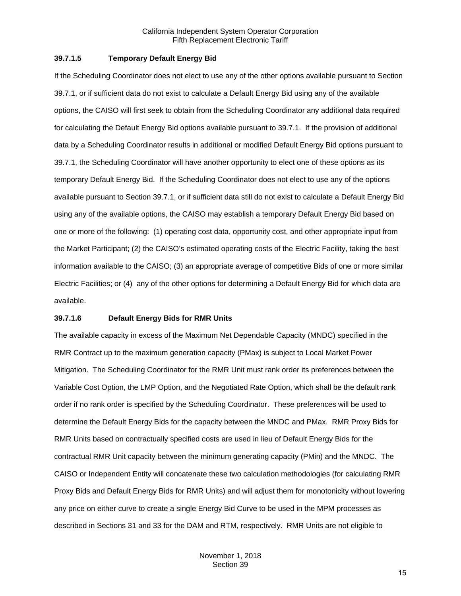#### **39.7.1.5 Temporary Default Energy Bid**

If the Scheduling Coordinator does not elect to use any of the other options available pursuant to Section 39.7.1, or if sufficient data do not exist to calculate a Default Energy Bid using any of the available options, the CAISO will first seek to obtain from the Scheduling Coordinator any additional data required for calculating the Default Energy Bid options available pursuant to 39.7.1. If the provision of additional data by a Scheduling Coordinator results in additional or modified Default Energy Bid options pursuant to 39.7.1, the Scheduling Coordinator will have another opportunity to elect one of these options as its temporary Default Energy Bid. If the Scheduling Coordinator does not elect to use any of the options available pursuant to Section 39.7.1, or if sufficient data still do not exist to calculate a Default Energy Bid using any of the available options, the CAISO may establish a temporary Default Energy Bid based on one or more of the following: (1) operating cost data, opportunity cost, and other appropriate input from the Market Participant; (2) the CAISO's estimated operating costs of the Electric Facility, taking the best information available to the CAISO; (3) an appropriate average of competitive Bids of one or more similar Electric Facilities; or (4) any of the other options for determining a Default Energy Bid for which data are available.

#### **39.7.1.6 Default Energy Bids for RMR Units**

The available capacity in excess of the Maximum Net Dependable Capacity (MNDC) specified in the RMR Contract up to the maximum generation capacity (PMax) is subject to Local Market Power Mitigation. The Scheduling Coordinator for the RMR Unit must rank order its preferences between the Variable Cost Option, the LMP Option, and the Negotiated Rate Option, which shall be the default rank order if no rank order is specified by the Scheduling Coordinator. These preferences will be used to determine the Default Energy Bids for the capacity between the MNDC and PMax. RMR Proxy Bids for RMR Units based on contractually specified costs are used in lieu of Default Energy Bids for the contractual RMR Unit capacity between the minimum generating capacity (PMin) and the MNDC. The CAISO or Independent Entity will concatenate these two calculation methodologies (for calculating RMR Proxy Bids and Default Energy Bids for RMR Units) and will adjust them for monotonicity without lowering any price on either curve to create a single Energy Bid Curve to be used in the MPM processes as described in Sections 31 and 33 for the DAM and RTM, respectively. RMR Units are not eligible to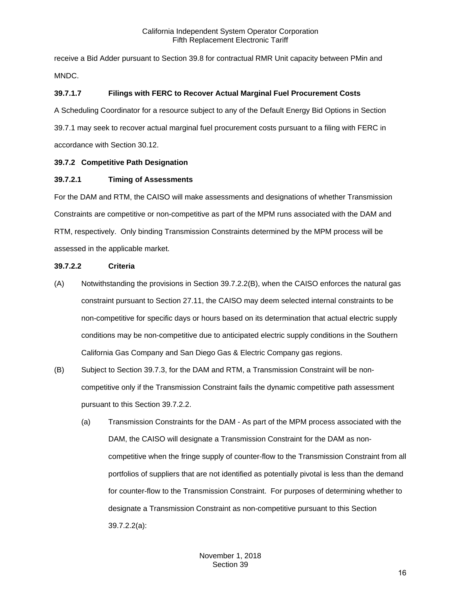receive a Bid Adder pursuant to Section 39.8 for contractual RMR Unit capacity between PMin and MNDC.

# **39.7.1.7 Filings with FERC to Recover Actual Marginal Fuel Procurement Costs**

A Scheduling Coordinator for a resource subject to any of the Default Energy Bid Options in Section 39.7.1 may seek to recover actual marginal fuel procurement costs pursuant to a filing with FERC in accordance with Section 30.12.

## <span id="page-15-0"></span>**39.7.2 Competitive Path Designation**

## **39.7.2.1 Timing of Assessments**

For the DAM and RTM, the CAISO will make assessments and designations of whether Transmission Constraints are competitive or non-competitive as part of the MPM runs associated with the DAM and RTM, respectively. Only binding Transmission Constraints determined by the MPM process will be assessed in the applicable market.

## **39.7.2.2 Criteria**

- (A) Notwithstanding the provisions in Section 39.7.2.2(B), when the CAISO enforces the natural gas constraint pursuant to Section 27.11, the CAISO may deem selected internal constraints to be non-competitive for specific days or hours based on its determination that actual electric supply conditions may be non-competitive due to anticipated electric supply conditions in the Southern California Gas Company and San Diego Gas & Electric Company gas regions.
- (B) Subject to Section 39.7.3, for the DAM and RTM, a Transmission Constraint will be noncompetitive only if the Transmission Constraint fails the dynamic competitive path assessment pursuant to this Section 39.7.2.2.
	- (a) Transmission Constraints for the DAM As part of the MPM process associated with the DAM, the CAISO will designate a Transmission Constraint for the DAM as noncompetitive when the fringe supply of counter-flow to the Transmission Constraint from all portfolios of suppliers that are not identified as potentially pivotal is less than the demand for counter-flow to the Transmission Constraint. For purposes of determining whether to designate a Transmission Constraint as non-competitive pursuant to this Section 39.7.2.2(a):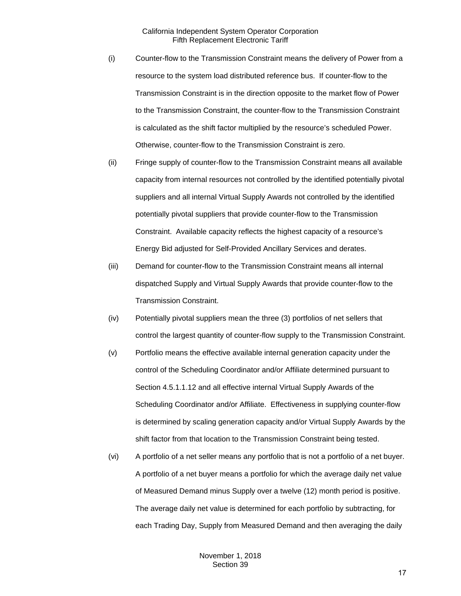- (i) Counter-flow to the Transmission Constraint means the delivery of Power from a resource to the system load distributed reference bus. If counter-flow to the Transmission Constraint is in the direction opposite to the market flow of Power to the Transmission Constraint, the counter-flow to the Transmission Constraint is calculated as the shift factor multiplied by the resource's scheduled Power. Otherwise, counter-flow to the Transmission Constraint is zero.
- (ii) Fringe supply of counter-flow to the Transmission Constraint means all available capacity from internal resources not controlled by the identified potentially pivotal suppliers and all internal Virtual Supply Awards not controlled by the identified potentially pivotal suppliers that provide counter-flow to the Transmission Constraint. Available capacity reflects the highest capacity of a resource's Energy Bid adjusted for Self-Provided Ancillary Services and derates.
- (iii) Demand for counter-flow to the Transmission Constraint means all internal dispatched Supply and Virtual Supply Awards that provide counter-flow to the Transmission Constraint.
- (iv) Potentially pivotal suppliers mean the three (3) portfolios of net sellers that control the largest quantity of counter-flow supply to the Transmission Constraint.
- (v) Portfolio means the effective available internal generation capacity under the control of the Scheduling Coordinator and/or Affiliate determined pursuant to Section 4.5.1.1.12 and all effective internal Virtual Supply Awards of the Scheduling Coordinator and/or Affiliate. Effectiveness in supplying counter-flow is determined by scaling generation capacity and/or Virtual Supply Awards by the shift factor from that location to the Transmission Constraint being tested.
- (vi) A portfolio of a net seller means any portfolio that is not a portfolio of a net buyer. A portfolio of a net buyer means a portfolio for which the average daily net value of Measured Demand minus Supply over a twelve (12) month period is positive. The average daily net value is determined for each portfolio by subtracting, for each Trading Day, Supply from Measured Demand and then averaging the daily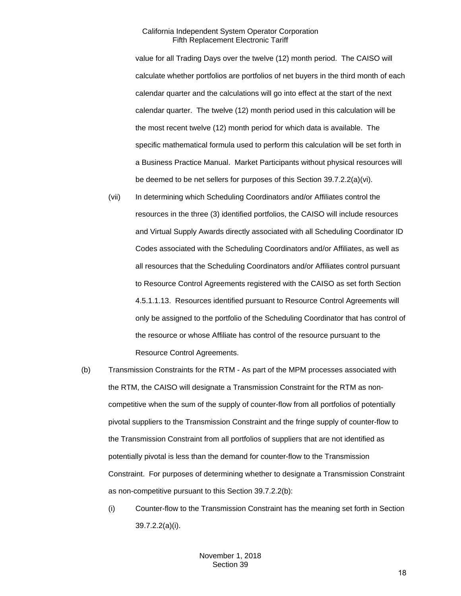value for all Trading Days over the twelve (12) month period. The CAISO will calculate whether portfolios are portfolios of net buyers in the third month of each calendar quarter and the calculations will go into effect at the start of the next calendar quarter. The twelve (12) month period used in this calculation will be the most recent twelve (12) month period for which data is available. The specific mathematical formula used to perform this calculation will be set forth in a Business Practice Manual. Market Participants without physical resources will be deemed to be net sellers for purposes of this Section 39.7.2.2(a)(vi).

- (vii) In determining which Scheduling Coordinators and/or Affiliates control the resources in the three (3) identified portfolios, the CAISO will include resources and Virtual Supply Awards directly associated with all Scheduling Coordinator ID Codes associated with the Scheduling Coordinators and/or Affiliates, as well as all resources that the Scheduling Coordinators and/or Affiliates control pursuant to Resource Control Agreements registered with the CAISO as set forth Section 4.5.1.1.13. Resources identified pursuant to Resource Control Agreements will only be assigned to the portfolio of the Scheduling Coordinator that has control of the resource or whose Affiliate has control of the resource pursuant to the Resource Control Agreements.
- (b) Transmission Constraints for the RTM As part of the MPM processes associated with the RTM, the CAISO will designate a Transmission Constraint for the RTM as noncompetitive when the sum of the supply of counter-flow from all portfolios of potentially pivotal suppliers to the Transmission Constraint and the fringe supply of counter-flow to the Transmission Constraint from all portfolios of suppliers that are not identified as potentially pivotal is less than the demand for counter-flow to the Transmission Constraint. For purposes of determining whether to designate a Transmission Constraint as non-competitive pursuant to this Section 39.7.2.2(b):
	- (i) Counter-flow to the Transmission Constraint has the meaning set forth in Section 39.7.2.2(a)(i).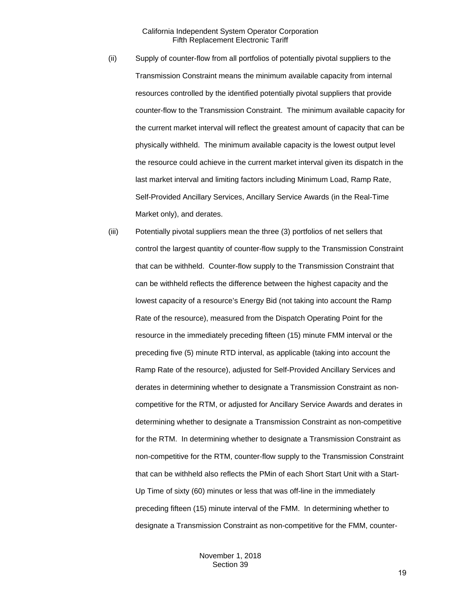- (ii) Supply of counter-flow from all portfolios of potentially pivotal suppliers to the Transmission Constraint means the minimum available capacity from internal resources controlled by the identified potentially pivotal suppliers that provide counter-flow to the Transmission Constraint. The minimum available capacity for the current market interval will reflect the greatest amount of capacity that can be physically withheld. The minimum available capacity is the lowest output level the resource could achieve in the current market interval given its dispatch in the last market interval and limiting factors including Minimum Load, Ramp Rate, Self-Provided Ancillary Services, Ancillary Service Awards (in the Real-Time Market only), and derates.
- (iii) Potentially pivotal suppliers mean the three (3) portfolios of net sellers that control the largest quantity of counter-flow supply to the Transmission Constraint that can be withheld. Counter-flow supply to the Transmission Constraint that can be withheld reflects the difference between the highest capacity and the lowest capacity of a resource's Energy Bid (not taking into account the Ramp Rate of the resource), measured from the Dispatch Operating Point for the resource in the immediately preceding fifteen (15) minute FMM interval or the preceding five (5) minute RTD interval, as applicable (taking into account the Ramp Rate of the resource), adjusted for Self-Provided Ancillary Services and derates in determining whether to designate a Transmission Constraint as noncompetitive for the RTM, or adjusted for Ancillary Service Awards and derates in determining whether to designate a Transmission Constraint as non-competitive for the RTM. In determining whether to designate a Transmission Constraint as non-competitive for the RTM, counter-flow supply to the Transmission Constraint that can be withheld also reflects the PMin of each Short Start Unit with a Start-Up Time of sixty (60) minutes or less that was off-line in the immediately preceding fifteen (15) minute interval of the FMM. In determining whether to designate a Transmission Constraint as non-competitive for the FMM, counter-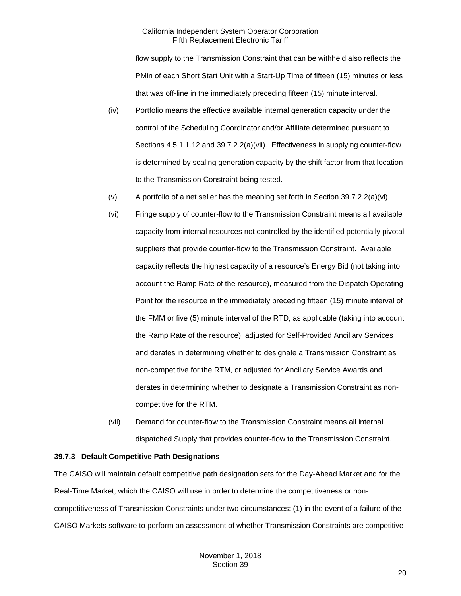flow supply to the Transmission Constraint that can be withheld also reflects the PMin of each Short Start Unit with a Start-Up Time of fifteen (15) minutes or less that was off-line in the immediately preceding fifteen (15) minute interval.

- (iv) Portfolio means the effective available internal generation capacity under the control of the Scheduling Coordinator and/or Affiliate determined pursuant to Sections 4.5.1.1.12 and 39.7.2.2(a)(vii). Effectiveness in supplying counter-flow is determined by scaling generation capacity by the shift factor from that location to the Transmission Constraint being tested.
- (v) A portfolio of a net seller has the meaning set forth in Section 39.7.2.2(a)(vi).
- (vi) Fringe supply of counter-flow to the Transmission Constraint means all available capacity from internal resources not controlled by the identified potentially pivotal suppliers that provide counter-flow to the Transmission Constraint. Available capacity reflects the highest capacity of a resource's Energy Bid (not taking into account the Ramp Rate of the resource), measured from the Dispatch Operating Point for the resource in the immediately preceding fifteen (15) minute interval of the FMM or five (5) minute interval of the RTD, as applicable (taking into account the Ramp Rate of the resource), adjusted for Self-Provided Ancillary Services and derates in determining whether to designate a Transmission Constraint as non-competitive for the RTM, or adjusted for Ancillary Service Awards and derates in determining whether to designate a Transmission Constraint as noncompetitive for the RTM.
- (vii) Demand for counter-flow to the Transmission Constraint means all internal dispatched Supply that provides counter-flow to the Transmission Constraint.

## <span id="page-19-0"></span>**39.7.3 Default Competitive Path Designations**

The CAISO will maintain default competitive path designation sets for the Day-Ahead Market and for the Real-Time Market, which the CAISO will use in order to determine the competitiveness or noncompetitiveness of Transmission Constraints under two circumstances: (1) in the event of a failure of the CAISO Markets software to perform an assessment of whether Transmission Constraints are competitive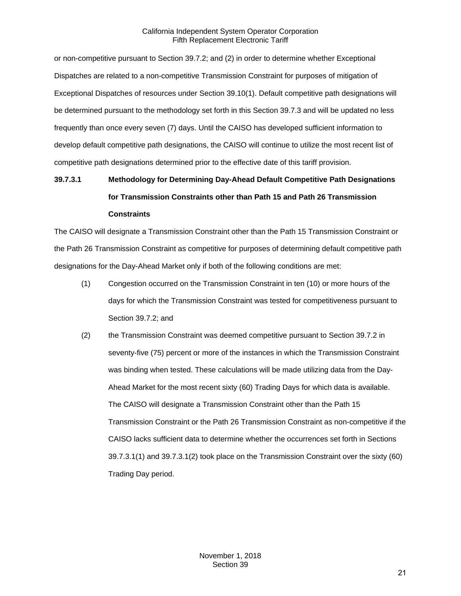or non-competitive pursuant to Section 39.7.2; and (2) in order to determine whether Exceptional Dispatches are related to a non-competitive Transmission Constraint for purposes of mitigation of Exceptional Dispatches of resources under Section 39.10(1). Default competitive path designations will be determined pursuant to the methodology set forth in this Section 39.7.3 and will be updated no less frequently than once every seven (7) days. Until the CAISO has developed sufficient information to develop default competitive path designations, the CAISO will continue to utilize the most recent list of competitive path designations determined prior to the effective date of this tariff provision.

# **39.7.3.1 Methodology for Determining Day-Ahead Default Competitive Path Designations for Transmission Constraints other than Path 15 and Path 26 Transmission Constraints**

The CAISO will designate a Transmission Constraint other than the Path 15 Transmission Constraint or the Path 26 Transmission Constraint as competitive for purposes of determining default competitive path designations for the Day-Ahead Market only if both of the following conditions are met:

- (1) Congestion occurred on the Transmission Constraint in ten (10) or more hours of the days for which the Transmission Constraint was tested for competitiveness pursuant to Section 39.7.2; and
- (2) the Transmission Constraint was deemed competitive pursuant to Section 39.7.2 in seventy-five (75) percent or more of the instances in which the Transmission Constraint was binding when tested. These calculations will be made utilizing data from the Day-Ahead Market for the most recent sixty (60) Trading Days for which data is available. The CAISO will designate a Transmission Constraint other than the Path 15 Transmission Constraint or the Path 26 Transmission Constraint as non-competitive if the CAISO lacks sufficient data to determine whether the occurrences set forth in Sections 39.7.3.1(1) and 39.7.3.1(2) took place on the Transmission Constraint over the sixty (60) Trading Day period.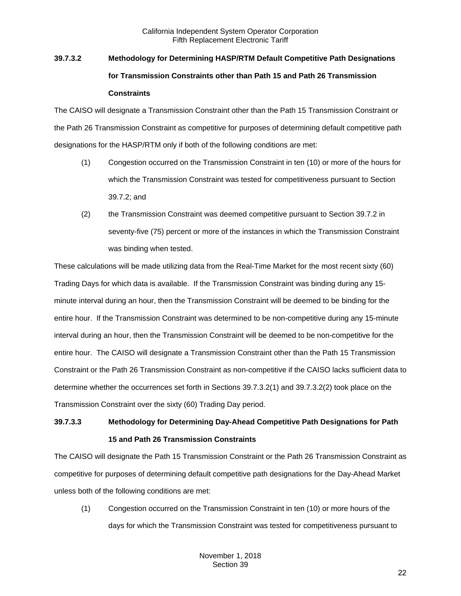# **39.7.3.2 Methodology for Determining HASP/RTM Default Competitive Path Designations for Transmission Constraints other than Path 15 and Path 26 Transmission Constraints**

The CAISO will designate a Transmission Constraint other than the Path 15 Transmission Constraint or the Path 26 Transmission Constraint as competitive for purposes of determining default competitive path designations for the HASP/RTM only if both of the following conditions are met:

- (1) Congestion occurred on the Transmission Constraint in ten (10) or more of the hours for which the Transmission Constraint was tested for competitiveness pursuant to Section 39.7.2; and
- (2) the Transmission Constraint was deemed competitive pursuant to Section 39.7.2 in seventy-five (75) percent or more of the instances in which the Transmission Constraint was binding when tested.

These calculations will be made utilizing data from the Real-Time Market for the most recent sixty (60) Trading Days for which data is available. If the Transmission Constraint was binding during any 15 minute interval during an hour, then the Transmission Constraint will be deemed to be binding for the entire hour. If the Transmission Constraint was determined to be non-competitive during any 15-minute interval during an hour, then the Transmission Constraint will be deemed to be non-competitive for the entire hour. The CAISO will designate a Transmission Constraint other than the Path 15 Transmission Constraint or the Path 26 Transmission Constraint as non-competitive if the CAISO lacks sufficient data to determine whether the occurrences set forth in Sections 39.7.3.2(1) and 39.7.3.2(2) took place on the Transmission Constraint over the sixty (60) Trading Day period.

# **39.7.3.3 Methodology for Determining Day-Ahead Competitive Path Designations for Path 15 and Path 26 Transmission Constraints**

The CAISO will designate the Path 15 Transmission Constraint or the Path 26 Transmission Constraint as competitive for purposes of determining default competitive path designations for the Day-Ahead Market unless both of the following conditions are met:

(1) Congestion occurred on the Transmission Constraint in ten (10) or more hours of the days for which the Transmission Constraint was tested for competitiveness pursuant to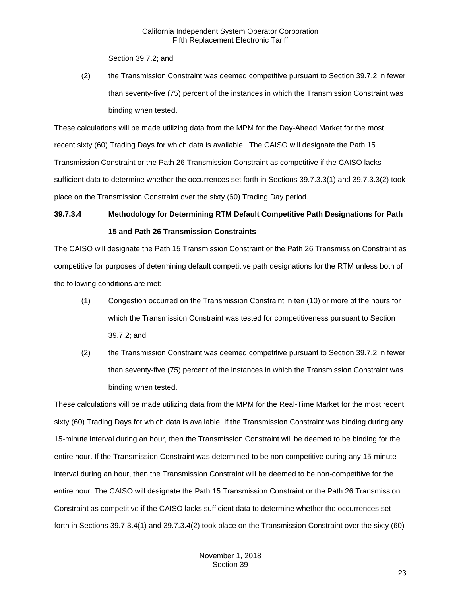Section 39.7.2; and

(2) the Transmission Constraint was deemed competitive pursuant to Section 39.7.2 in fewer than seventy-five (75) percent of the instances in which the Transmission Constraint was binding when tested.

These calculations will be made utilizing data from the MPM for the Day-Ahead Market for the most recent sixty (60) Trading Days for which data is available. The CAISO will designate the Path 15 Transmission Constraint or the Path 26 Transmission Constraint as competitive if the CAISO lacks sufficient data to determine whether the occurrences set forth in Sections 39.7.3.3(1) and 39.7.3.3(2) took place on the Transmission Constraint over the sixty (60) Trading Day period.

# **39.7.3.4 Methodology for Determining RTM Default Competitive Path Designations for Path 15 and Path 26 Transmission Constraints**

The CAISO will designate the Path 15 Transmission Constraint or the Path 26 Transmission Constraint as competitive for purposes of determining default competitive path designations for the RTM unless both of the following conditions are met:

- (1) Congestion occurred on the Transmission Constraint in ten (10) or more of the hours for which the Transmission Constraint was tested for competitiveness pursuant to Section 39.7.2; and
- (2) the Transmission Constraint was deemed competitive pursuant to Section 39.7.2 in fewer than seventy-five (75) percent of the instances in which the Transmission Constraint was binding when tested.

These calculations will be made utilizing data from the MPM for the Real-Time Market for the most recent sixty (60) Trading Days for which data is available. If the Transmission Constraint was binding during any 15-minute interval during an hour, then the Transmission Constraint will be deemed to be binding for the entire hour. If the Transmission Constraint was determined to be non-competitive during any 15-minute interval during an hour, then the Transmission Constraint will be deemed to be non-competitive for the entire hour. The CAISO will designate the Path 15 Transmission Constraint or the Path 26 Transmission Constraint as competitive if the CAISO lacks sufficient data to determine whether the occurrences set forth in Sections 39.7.3.4(1) and 39.7.3.4(2) took place on the Transmission Constraint over the sixty (60)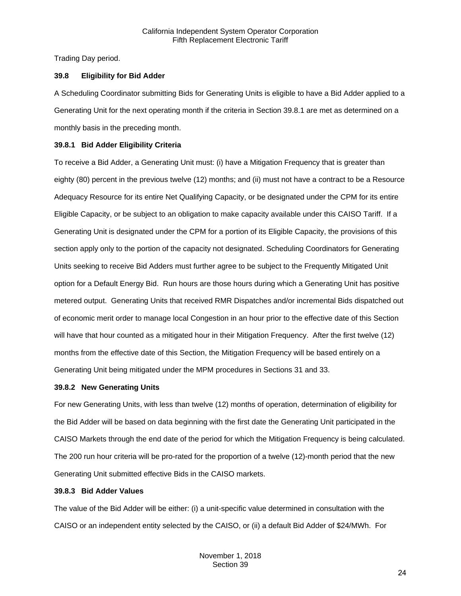Trading Day period.

## <span id="page-23-0"></span>**39.8 Eligibility for Bid Adder**

A Scheduling Coordinator submitting Bids for Generating Units is eligible to have a Bid Adder applied to a Generating Unit for the next operating month if the criteria in Section 39.8.1 are met as determined on a monthly basis in the preceding month.

# <span id="page-23-1"></span>**39.8.1 Bid Adder Eligibility Criteria**

To receive a Bid Adder, a Generating Unit must: (i) have a Mitigation Frequency that is greater than eighty (80) percent in the previous twelve (12) months; and (ii) must not have a contract to be a Resource Adequacy Resource for its entire Net Qualifying Capacity, or be designated under the CPM for its entire Eligible Capacity, or be subject to an obligation to make capacity available under this CAISO Tariff. If a Generating Unit is designated under the CPM for a portion of its Eligible Capacity, the provisions of this section apply only to the portion of the capacity not designated. Scheduling Coordinators for Generating Units seeking to receive Bid Adders must further agree to be subject to the Frequently Mitigated Unit option for a Default Energy Bid. Run hours are those hours during which a Generating Unit has positive metered output. Generating Units that received RMR Dispatches and/or incremental Bids dispatched out of economic merit order to manage local Congestion in an hour prior to the effective date of this Section will have that hour counted as a mitigated hour in their Mitigation Frequency. After the first twelve (12) months from the effective date of this Section, the Mitigation Frequency will be based entirely on a Generating Unit being mitigated under the MPM procedures in Sections 31 and 33.

## <span id="page-23-2"></span>**39.8.2 New Generating Units**

For new Generating Units, with less than twelve (12) months of operation, determination of eligibility for the Bid Adder will be based on data beginning with the first date the Generating Unit participated in the CAISO Markets through the end date of the period for which the Mitigation Frequency is being calculated. The 200 run hour criteria will be pro-rated for the proportion of a twelve (12)-month period that the new Generating Unit submitted effective Bids in the CAISO markets.

## <span id="page-23-3"></span>**39.8.3 Bid Adder Values**

The value of the Bid Adder will be either: (i) a unit-specific value determined in consultation with the CAISO or an independent entity selected by the CAISO, or (ii) a default Bid Adder of \$24/MWh. For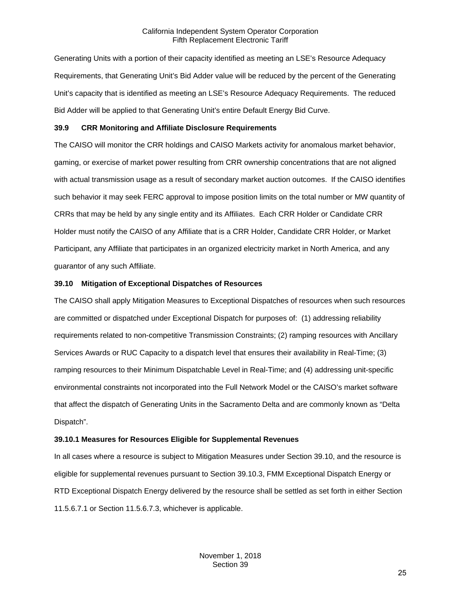Generating Units with a portion of their capacity identified as meeting an LSE's Resource Adequacy Requirements, that Generating Unit's Bid Adder value will be reduced by the percent of the Generating Unit's capacity that is identified as meeting an LSE's Resource Adequacy Requirements. The reduced Bid Adder will be applied to that Generating Unit's entire Default Energy Bid Curve.

#### <span id="page-24-0"></span>**39.9 CRR Monitoring and Affiliate Disclosure Requirements**

The CAISO will monitor the CRR holdings and CAISO Markets activity for anomalous market behavior, gaming, or exercise of market power resulting from CRR ownership concentrations that are not aligned with actual transmission usage as a result of secondary market auction outcomes. If the CAISO identifies such behavior it may seek FERC approval to impose position limits on the total number or MW quantity of CRRs that may be held by any single entity and its Affiliates. Each CRR Holder or Candidate CRR Holder must notify the CAISO of any Affiliate that is a CRR Holder, Candidate CRR Holder, or Market Participant, any Affiliate that participates in an organized electricity market in North America, and any guarantor of any such Affiliate.

## <span id="page-24-1"></span>**39.10 Mitigation of Exceptional Dispatches of Resources**

The CAISO shall apply Mitigation Measures to Exceptional Dispatches of resources when such resources are committed or dispatched under Exceptional Dispatch for purposes of: (1) addressing reliability requirements related to non-competitive Transmission Constraints; (2) ramping resources with Ancillary Services Awards or RUC Capacity to a dispatch level that ensures their availability in Real-Time; (3) ramping resources to their Minimum Dispatchable Level in Real-Time; and (4) addressing unit-specific environmental constraints not incorporated into the Full Network Model or the CAISO's market software that affect the dispatch of Generating Units in the Sacramento Delta and are commonly known as "Delta Dispatch".

## <span id="page-24-2"></span>**39.10.1 Measures for Resources Eligible for Supplemental Revenues**

In all cases where a resource is subject to Mitigation Measures under Section 39.10, and the resource is eligible for supplemental revenues pursuant to Section 39.10.3, FMM Exceptional Dispatch Energy or RTD Exceptional Dispatch Energy delivered by the resource shall be settled as set forth in either Section 11.5.6.7.1 or Section 11.5.6.7.3, whichever is applicable.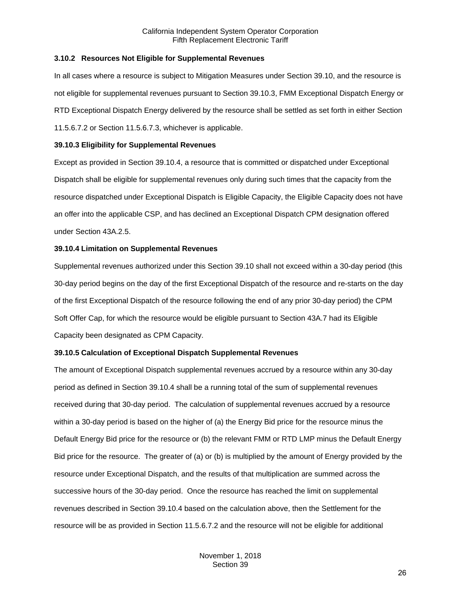#### <span id="page-25-0"></span>**3.10.2 Resources Not Eligible for Supplemental Revenues**

In all cases where a resource is subject to Mitigation Measures under Section 39.10, and the resource is not eligible for supplemental revenues pursuant to Section 39.10.3, FMM Exceptional Dispatch Energy or RTD Exceptional Dispatch Energy delivered by the resource shall be settled as set forth in either Section 11.5.6.7.2 or Section 11.5.6.7.3, whichever is applicable.

#### <span id="page-25-1"></span>**39.10.3 Eligibility for Supplemental Revenues**

Except as provided in Section 39.10.4, a resource that is committed or dispatched under Exceptional Dispatch shall be eligible for supplemental revenues only during such times that the capacity from the resource dispatched under Exceptional Dispatch is Eligible Capacity, the Eligible Capacity does not have an offer into the applicable CSP, and has declined an Exceptional Dispatch CPM designation offered under Section 43A.2.5.

#### <span id="page-25-2"></span>**39.10.4 Limitation on Supplemental Revenues**

Supplemental revenues authorized under this Section 39.10 shall not exceed within a 30-day period (this 30-day period begins on the day of the first Exceptional Dispatch of the resource and re-starts on the day of the first Exceptional Dispatch of the resource following the end of any prior 30-day period) the CPM Soft Offer Cap, for which the resource would be eligible pursuant to Section 43A.7 had its Eligible Capacity been designated as CPM Capacity.

#### <span id="page-25-3"></span>**39.10.5 Calculation of Exceptional Dispatch Supplemental Revenues**

The amount of Exceptional Dispatch supplemental revenues accrued by a resource within any 30-day period as defined in Section 39.10.4 shall be a running total of the sum of supplemental revenues received during that 30-day period. The calculation of supplemental revenues accrued by a resource within a 30-day period is based on the higher of (a) the Energy Bid price for the resource minus the Default Energy Bid price for the resource or (b) the relevant FMM or RTD LMP minus the Default Energy Bid price for the resource. The greater of (a) or (b) is multiplied by the amount of Energy provided by the resource under Exceptional Dispatch, and the results of that multiplication are summed across the successive hours of the 30-day period. Once the resource has reached the limit on supplemental revenues described in Section 39.10.4 based on the calculation above, then the Settlement for the resource will be as provided in Section 11.5.6.7.2 and the resource will not be eligible for additional